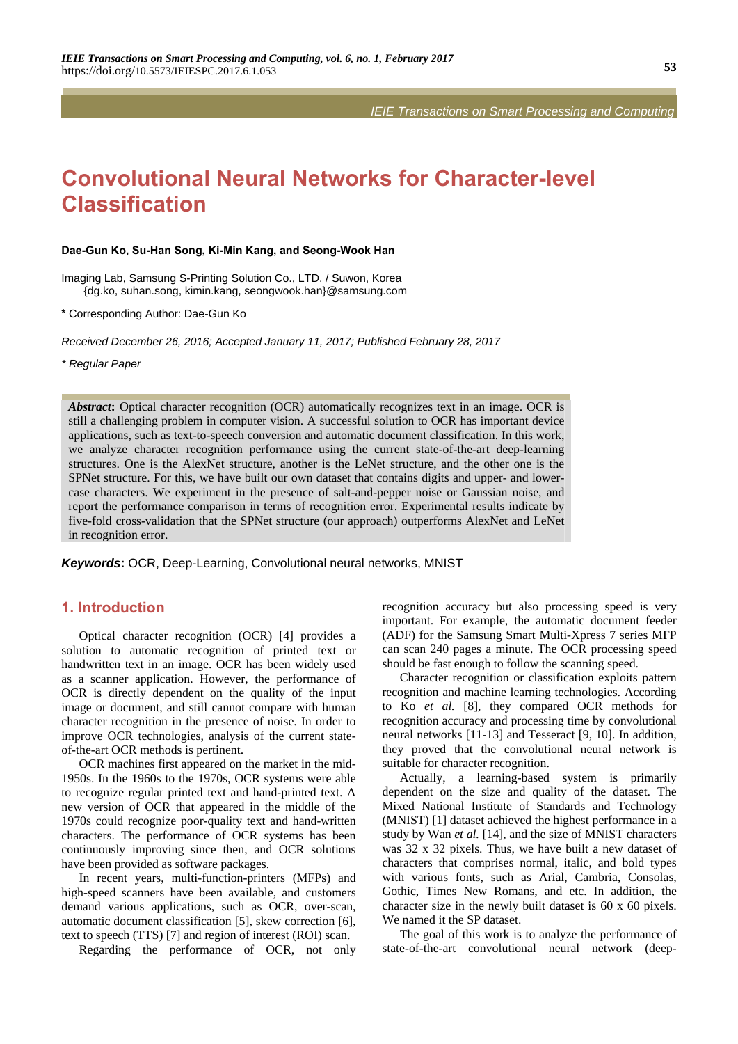*IEIE Transactions on Smart Processing and Computing*

# **Convolutional Neural Networks for Character-level Classification**

#### **Dae-Gun Ko, Su-Han Song, Ki-Min Kang, and Seong-Wook Han**

Imaging Lab, Samsung S-Printing Solution Co., LTD. / Suwon, Korea {dg.ko, suhan.song, kimin.kang, seongwook.han}@samsung.com

**\*** Corresponding Author: Dae-Gun Ko

*Received December 26, 2016; Accepted January 11, 2017; Published February 28, 2017* 

*\* Regular Paper* 

*Abstract*: Optical character recognition (OCR) automatically recognizes text in an image. OCR is still a challenging problem in computer vision. A successful solution to OCR has important device applications, such as text-to-speech conversion and automatic document classification. In this work, we analyze character recognition performance using the current state-of-the-art deep-learning structures. One is the AlexNet structure, another is the LeNet structure, and the other one is the SPNet structure. For this, we have built our own dataset that contains digits and upper- and lowercase characters. We experiment in the presence of salt-and-pepper noise or Gaussian noise, and report the performance comparison in terms of recognition error. Experimental results indicate by five-fold cross-validation that the SPNet structure (our approach) outperforms AlexNet and LeNet in recognition error.

*Keywords***:** OCR, Deep-Learning, Convolutional neural networks, MNIST

# **1. Introduction**

Optical character recognition (OCR) [4] provides a solution to automatic recognition of printed text or handwritten text in an image. OCR has been widely used as a scanner application. However, the performance of OCR is directly dependent on the quality of the input image or document, and still cannot compare with human character recognition in the presence of noise. In order to improve OCR technologies, analysis of the current stateof-the-art OCR methods is pertinent.

OCR machines first appeared on the market in the mid-1950s. In the 1960s to the 1970s, OCR systems were able to recognize regular printed text and hand-printed text. A new version of OCR that appeared in the middle of the 1970s could recognize poor-quality text and hand-written characters. The performance of OCR systems has been continuously improving since then, and OCR solutions have been provided as software packages.

In recent years, multi-function-printers (MFPs) and high-speed scanners have been available, and customers demand various applications, such as OCR, over-scan, automatic document classification [5], skew correction [6], text to speech (TTS) [7] and region of interest (ROI) scan.

Regarding the performance of OCR, not only

recognition accuracy but also processing speed is very important. For example, the automatic document feeder (ADF) for the Samsung Smart Multi-Xpress 7 series MFP can scan 240 pages a minute. The OCR processing speed should be fast enough to follow the scanning speed.

Character recognition or classification exploits pattern recognition and machine learning technologies. According to Ko *et al.* [8], they compared OCR methods for recognition accuracy and processing time by convolutional neural networks [11-13] and Tesseract [9, 10]. In addition, they proved that the convolutional neural network is suitable for character recognition.

Actually, a learning-based system is primarily dependent on the size and quality of the dataset. The Mixed National Institute of Standards and Technology (MNIST) [1] dataset achieved the highest performance in a study by Wan *et al.* [14], and the size of MNIST characters was 32 x 32 pixels. Thus, we have built a new dataset of characters that comprises normal, italic, and bold types with various fonts, such as Arial, Cambria, Consolas, Gothic, Times New Romans, and etc. In addition, the character size in the newly built dataset is 60 x 60 pixels. We named it the SP dataset.

The goal of this work is to analyze the performance of state-of-the-art convolutional neural network (deep-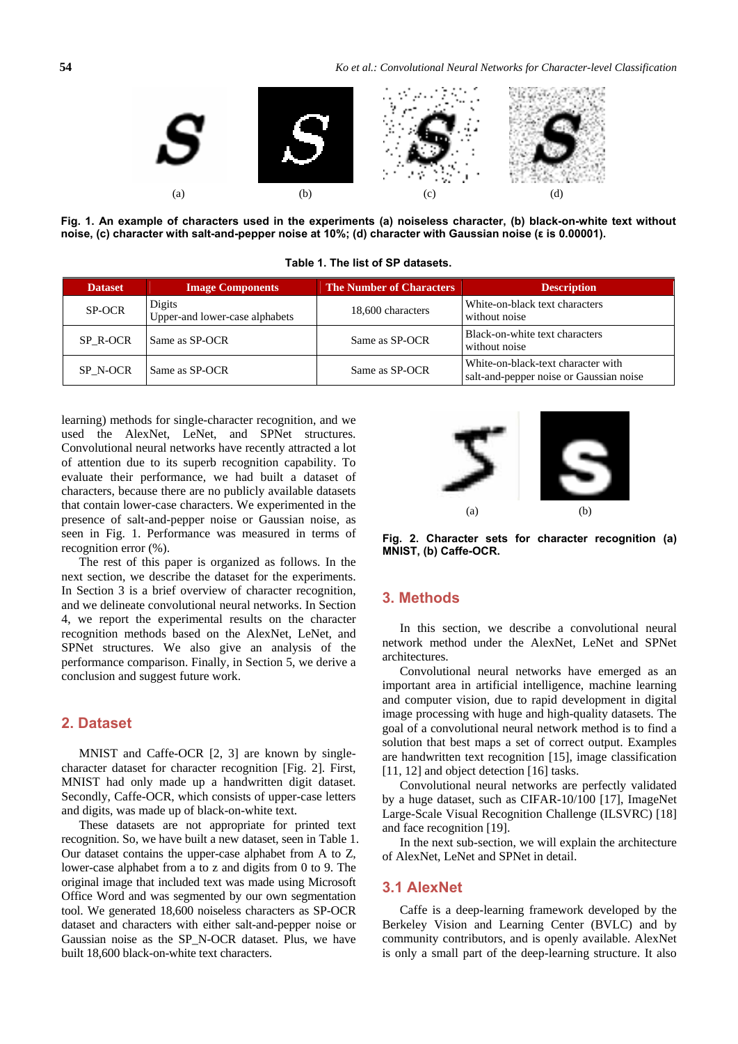

**Fig. 1. An example of characters used in the experiments (a) noiseless character, (b) black-on-white text without noise, (c) character with salt-and-pepper noise at 10%; (d) character with Gaussian noise (ε is 0.00001).** 

**Table 1. The list of SP datasets.** 

| <b>Dataset</b> | <b>Image Components</b>                  | <b>The Number of Characters</b> | <b>Description</b>                                                            |
|----------------|------------------------------------------|---------------------------------|-------------------------------------------------------------------------------|
| SP-OCR         | Digits<br>Upper-and lower-case alphabets | 18,600 characters               | White-on-black text characters<br>without noise                               |
| SP R-OCR       | Same as SP-OCR<br>Same as SP-OCR         |                                 | Black-on-white text characters<br>without noise                               |
| SP N-OCR       | Same as SP-OCR                           | Same as SP-OCR                  | White-on-black-text character with<br>salt-and-pepper noise or Gaussian noise |

learning) methods for single-character recognition, and we used the AlexNet, LeNet, and SPNet structures. Convolutional neural networks have recently attracted a lot of attention due to its superb recognition capability. To evaluate their performance, we had built a dataset of characters, because there are no publicly available datasets that contain lower-case characters. We experimented in the presence of salt-and-pepper noise or Gaussian noise, as seen in Fig. 1. Performance was measured in terms of recognition error (%).

The rest of this paper is organized as follows. In the next section, we describe the dataset for the experiments. In Section 3 is a brief overview of character recognition, and we delineate convolutional neural networks. In Section 4, we report the experimental results on the character recognition methods based on the AlexNet, LeNet, and SPNet structures. We also give an analysis of the performance comparison. Finally, in Section 5, we derive a conclusion and suggest future work.

# **2. Dataset**

MNIST and Caffe-OCR [2, 3] are known by singlecharacter dataset for character recognition [Fig. 2]. First, MNIST had only made up a handwritten digit dataset. Secondly, Caffe-OCR, which consists of upper-case letters and digits, was made up of black-on-white text.

These datasets are not appropriate for printed text recognition. So, we have built a new dataset, seen in Table 1. Our dataset contains the upper-case alphabet from A to Z, lower-case alphabet from a to z and digits from 0 to 9. The original image that included text was made using Microsoft Office Word and was segmented by our own segmentation tool. We generated 18,600 noiseless characters as SP-OCR dataset and characters with either salt-and-pepper noise or Gaussian noise as the SP\_N-OCR dataset. Plus, we have built 18,600 black-on-white text characters.



**Fig. 2. Character sets for character recognition (a) MNIST, (b) Caffe-OCR.** 

# **3. Methods**

In this section, we describe a convolutional neural network method under the AlexNet, LeNet and SPNet architectures.

Convolutional neural networks have emerged as an important area in artificial intelligence, machine learning and computer vision, due to rapid development in digital image processing with huge and high-quality datasets. The goal of a convolutional neural network method is to find a solution that best maps a set of correct output. Examples are handwritten text recognition [15], image classification [11, 12] and object detection [16] tasks.

Convolutional neural networks are perfectly validated by a huge dataset, such as CIFAR-10/100 [17], ImageNet Large-Scale Visual Recognition Challenge (ILSVRC) [18] and face recognition [19].

In the next sub-section, we will explain the architecture of AlexNet, LeNet and SPNet in detail.

# **3.1 AlexNet**

Caffe is a deep-learning framework developed by the Berkeley Vision and Learning Center (BVLC) and by community contributors, and is openly available. AlexNet is only a small part of the deep-learning structure. It also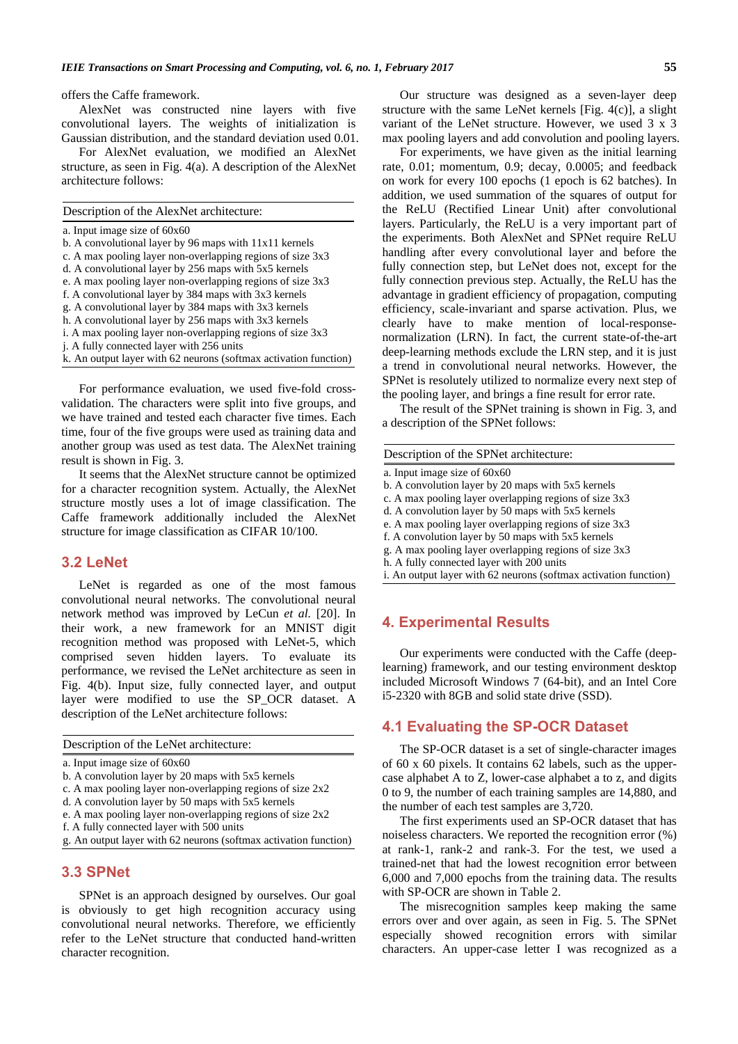offers the Caffe framework.

AlexNet was constructed nine layers with five convolutional layers. The weights of initialization is Gaussian distribution, and the standard deviation used 0.01.

For AlexNet evaluation, we modified an AlexNet structure, as seen in Fig. 4(a). A description of the AlexNet architecture follows:

| Description of the AlexNet architecture:                         |  |
|------------------------------------------------------------------|--|
| a. Input image size of $60x60$                                   |  |
| b. A convolutional layer by 96 maps with 11x11 kernels           |  |
| c. A max pooling layer non-overlapping regions of size $3x3$     |  |
| d. A convolutional layer by 256 maps with 5x5 kernels            |  |
| e. A max pooling layer non-overlapping regions of size $3x3$     |  |
| f. A convolutional layer by 384 maps with 3x3 kernels            |  |
| g. A convolutional layer by 384 maps with 3x3 kernels            |  |
| h. A convolutional layer by 256 maps with 3x3 kernels            |  |
| i. A max pooling layer non-overlapping regions of size 3x3       |  |
| <i>i.</i> A fully connected layer with 256 units                 |  |
| k. An output layer with 62 neurons (softmax activation function) |  |
|                                                                  |  |

For performance evaluation, we used five-fold crossvalidation. The characters were split into five groups, and we have trained and tested each character five times. Each time, four of the five groups were used as training data and another group was used as test data. The AlexNet training result is shown in Fig. 3.

It seems that the AlexNet structure cannot be optimized for a character recognition system. Actually, the AlexNet structure mostly uses a lot of image classification. The Caffe framework additionally included the AlexNet structure for image classification as CIFAR 10/100.

#### **3.2 LeNet**

LeNet is regarded as one of the most famous convolutional neural networks. The convolutional neural network method was improved by LeCun *et al.* [20]. In their work, a new framework for an MNIST digit recognition method was proposed with LeNet-5, which comprised seven hidden layers. To evaluate its performance, we revised the LeNet architecture as seen in Fig. 4(b). Input size, fully connected layer, and output layer were modified to use the SP\_OCR dataset. A description of the LeNet architecture follows:

Description of the LeNet architecture:

- a. Input image size of 60x60
- b. A convolution layer by 20 maps with 5x5 kernels
- c. A max pooling layer non-overlapping regions of size 2x2
- d. A convolution layer by 50 maps with 5x5 kernels
- e. A max pooling layer non-overlapping regions of size 2x2
- f. A fully connected layer with 500 units

g. An output layer with 62 neurons (softmax activation function)

## **3.3 SPNet**

SPNet is an approach designed by ourselves. Our goal is obviously to get high recognition accuracy using convolutional neural networks. Therefore, we efficiently refer to the LeNet structure that conducted hand-written character recognition.

Our structure was designed as a seven-layer deep structure with the same LeNet kernels [Fig. 4(c)], a slight variant of the LeNet structure. However, we used 3 x 3 max pooling layers and add convolution and pooling layers.

For experiments, we have given as the initial learning rate, 0.01; momentum, 0.9; decay, 0.0005; and feedback on work for every 100 epochs (1 epoch is 62 batches). In addition, we used summation of the squares of output for the ReLU (Rectified Linear Unit) after convolutional layers. Particularly, the ReLU is a very important part of the experiments. Both AlexNet and SPNet require ReLU handling after every convolutional layer and before the fully connection step, but LeNet does not, except for the fully connection previous step. Actually, the ReLU has the advantage in gradient efficiency of propagation, computing efficiency, scale-invariant and sparse activation. Plus, we clearly have to make mention of local-responsenormalization (LRN). In fact, the current state-of-the-art deep-learning methods exclude the LRN step, and it is just a trend in convolutional neural networks. However, the SPNet is resolutely utilized to normalize every next step of the pooling layer, and brings a fine result for error rate.

The result of the SPNet training is shown in Fig. 3, and a description of the SPNet follows:

| Description of the SPNet architecture: |  |
|----------------------------------------|--|
|----------------------------------------|--|

- a. Input image size of 60x60
- b. A convolution layer by 20 maps with 5x5 kernels
- c. A max pooling layer overlapping regions of size 3x3
- d. A convolution layer by 50 maps with 5x5 kernels
- e. A max pooling layer overlapping regions of size 3x3
- f. A convolution layer by 50 maps with 5x5 kernels
- g. A max pooling layer overlapping regions of size 3x3
- h. A fully connected layer with 200 units

i. An output layer with 62 neurons (softmax activation function)

### **4. Experimental Results**

Our experiments were conducted with the Caffe (deeplearning) framework, and our testing environment desktop included Microsoft Windows 7 (64-bit), and an Intel Core i5-2320 with 8GB and solid state drive (SSD).

#### **4.1 Evaluating the SP-OCR Dataset**

The SP-OCR dataset is a set of single-character images of 60 x 60 pixels. It contains 62 labels, such as the uppercase alphabet A to Z, lower-case alphabet a to z, and digits 0 to 9, the number of each training samples are 14,880, and the number of each test samples are 3,720.

The first experiments used an SP-OCR dataset that has noiseless characters. We reported the recognition error (%) at rank-1, rank-2 and rank-3. For the test, we used a trained-net that had the lowest recognition error between 6,000 and 7,000 epochs from the training data. The results with SP-OCR are shown in Table 2.

The misrecognition samples keep making the same errors over and over again, as seen in Fig. 5. The SPNet especially showed recognition errors with similar characters. An upper-case letter I was recognized as a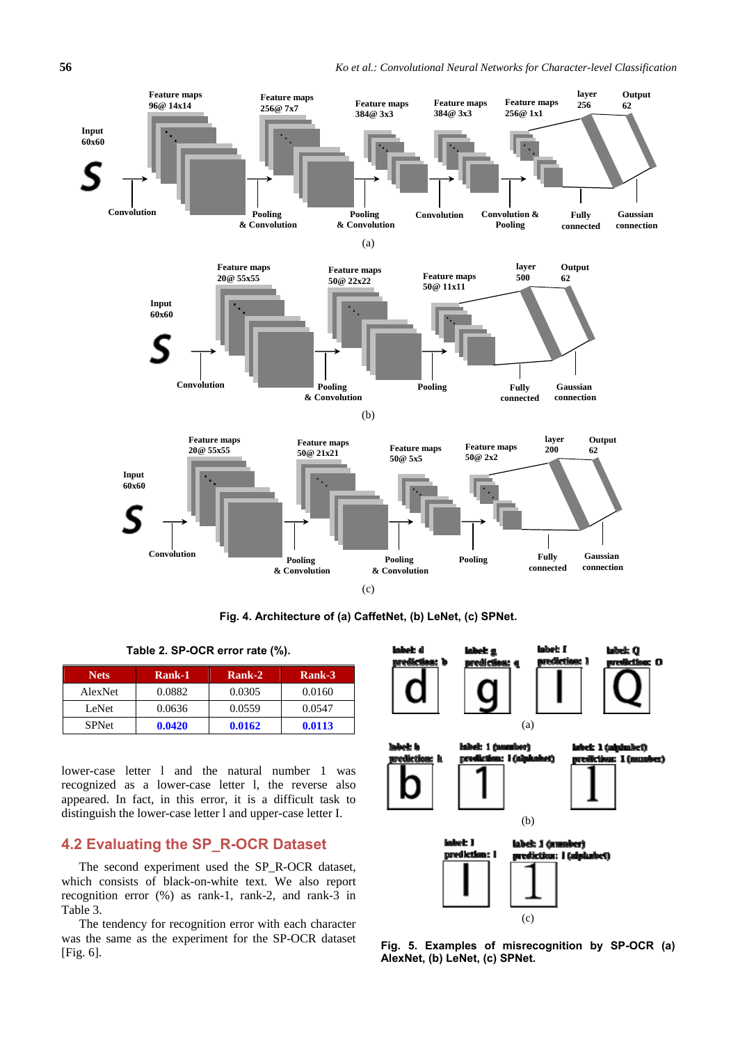

**Fig. 4. Architecture of (a) CaffetNet, (b) LeNet, (c) SPNet.** 

**Table 2. SP-OCR error rate (%).** 

| <b>Nets</b>  | Rank-1 | Rank-2 | Rank-3 |
|--------------|--------|--------|--------|
| AlexNet      | 0.0882 | 0.0305 | 0.0160 |
| LeNet        | 0.0636 | 0.0559 | 0.0547 |
| <b>SPNet</b> | 0.0420 | 0.0162 | 0.0113 |

lower-case letter l and the natural number 1 was recognized as a lower-case letter l, the reverse also appeared. In fact, in this error, it is a difficult task to distinguish the lower-case letter l and upper-case letter I.

# **4.2 Evaluating the SP\_R-OCR Dataset**

The second experiment used the SP\_R-OCR dataset, which consists of black-on-white text. We also report recognition error (%) as rank-1, rank-2, and rank-3 in Table 3.

The tendency for recognition error with each character was the same as the experiment for the SP-OCR dataset [Fig. 6].



**Fig. 5. Examples of misrecognition by SP-OCR (a) AlexNet, (b) LeNet, (c) SPNet.**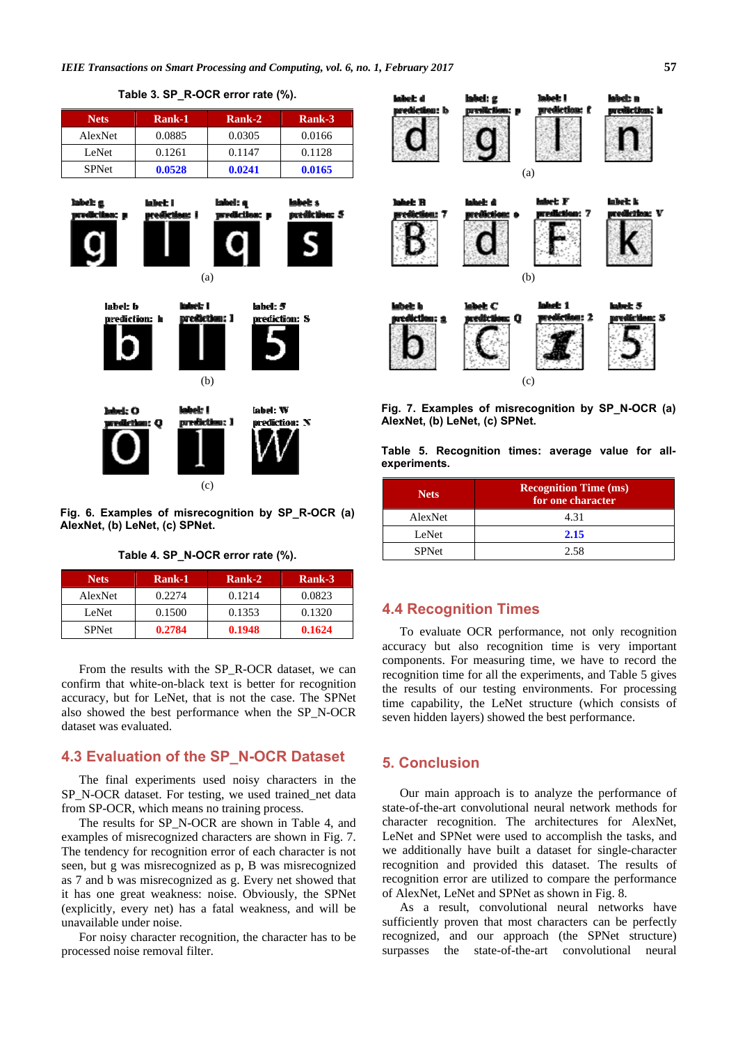

**Table 3. SP\_R-OCR error rate (%).** 

**Fig. 6. Examples of misrecognition by SP\_R-OCR (a) AlexNet, (b) LeNet, (c) SPNet.** 

**Table 4. SP\_N-OCR error rate (%).** 

| <b>Nets</b>  | Rank-1 | Rank-2 | Rank-3 |
|--------------|--------|--------|--------|
| AlexNet      | 0.2274 | 0.1214 | 0.0823 |
| LeNet        | 0.1500 | 0.1353 | 0.1320 |
| <b>SPNet</b> | 0.2784 | 0.1948 | 0.1624 |

From the results with the SP\_R-OCR dataset, we can confirm that white-on-black text is better for recognition accuracy, but for LeNet, that is not the case. The SPNet also showed the best performance when the SP\_N-OCR dataset was evaluated.

# **4.3 Evaluation of the SP\_N-OCR Dataset**

The final experiments used noisy characters in the SP\_N-OCR dataset. For testing, we used trained\_net data from SP-OCR, which means no training process.

The results for SP\_N-OCR are shown in Table 4, and examples of misrecognized characters are shown in Fig. 7. The tendency for recognition error of each character is not seen, but g was misrecognized as p, B was misrecognized as 7 and b was misrecognized as g. Every net showed that it has one great weakness: noise. Obviously, the SPNet (explicitly, every net) has a fatal weakness, and will be unavailable under noise.

For noisy character recognition, the character has to be processed noise removal filter.



**Fig. 7. Examples of misrecognition by SP\_N-OCR (a) AlexNet, (b) LeNet, (c) SPNet.** 

**Table 5. Recognition times: average value for allexperiments.**

| <b>Nets</b>  | <b>Recognition Time (ms)</b><br>for one character |  |
|--------------|---------------------------------------------------|--|
| AlexNet      | 4.31                                              |  |
| LeNet        | 2.15                                              |  |
| <b>SPNet</b> | 2.58                                              |  |

# **4.4 Recognition Times**

To evaluate OCR performance, not only recognition accuracy but also recognition time is very important components. For measuring time, we have to record the recognition time for all the experiments, and Table 5 gives the results of our testing environments. For processing time capability, the LeNet structure (which consists of seven hidden layers) showed the best performance.

## **5. Conclusion**

Our main approach is to analyze the performance of state-of-the-art convolutional neural network methods for character recognition. The architectures for AlexNet, LeNet and SPNet were used to accomplish the tasks, and we additionally have built a dataset for single-character recognition and provided this dataset. The results of recognition error are utilized to compare the performance of AlexNet, LeNet and SPNet as shown in Fig. 8.

As a result, convolutional neural networks have sufficiently proven that most characters can be perfectly recognized, and our approach (the SPNet structure) surpasses the state-of-the-art convolutional neural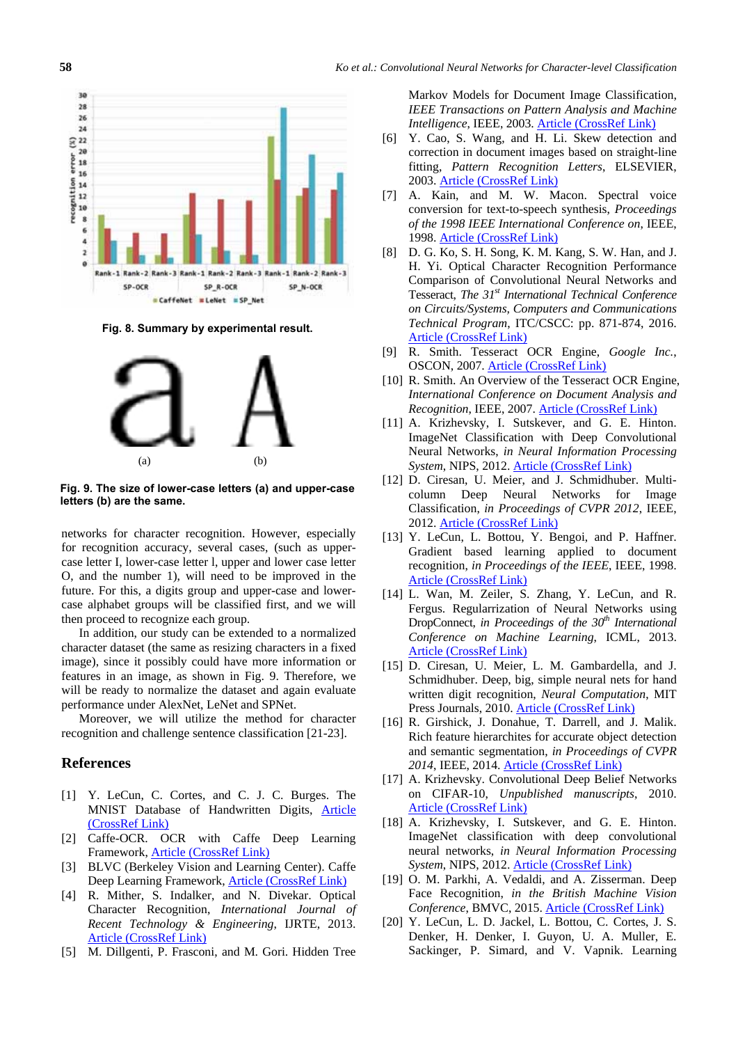

**Fig. 8. Summary by experimental result.** 



**Fig. 9. The size of lower-case letters (a) and upper-case letters (b) are the same.** 

networks for character recognition. However, especially for recognition accuracy, several cases, (such as uppercase letter I, lower-case letter l, upper and lower case letter O, and the number 1), will need to be improved in the future. For this, a digits group and upper-case and lowercase alphabet groups will be classified first, and we will then proceed to recognize each group.

In addition, our study can be extended to a normalized character dataset (the same as resizing characters in a fixed image), since it possibly could have more information or features in an image, as shown in Fig. 9. Therefore, we will be ready to normalize the dataset and again evaluate performance under AlexNet, LeNet and SPNet.

Moreover, we will utilize the method for character recognition and challenge sentence classification [21-23].

#### **References**

- [1] Y. LeCun, C. Cortes, and C. J. C. Burges. The MNIST Database of Handwritten Digits, Article (CrossRef Link)
- [2] Caffe-OCR. OCR with Caffe Deep Learning Framework, Article (CrossRef Link)
- [3] BLVC (Berkeley Vision and Learning Center). Caffe Deep Learning Framework, Article (CrossRef Link)
- [4] R. Mither, S. Indalker, and N. Divekar. Optical Character Recognition, *International Journal of Recent Technology & Engineering*, IJRTE, 2013. Article (CrossRef Link)
- [5] M. Dillgenti, P. Frasconi, and M. Gori. Hidden Tree

Markov Models for Document Image Classification, *IEEE Transactions on Pattern Analysis and Machine Intelligence*, IEEE, 2003. Article (CrossRef Link)

- [6] Y. Cao, S. Wang, and H. Li. Skew detection and correction in document images based on straight-line fitting, *Pattern Recognition Letters*, ELSEVIER, 2003. Article (CrossRef Link)
- [7] A. Kain, and M. W. Macon. Spectral voice conversion for text-to-speech synthesis, *Proceedings of the 1998 IEEE International Conference on*, IEEE, 1998. Article (CrossRef Link)
- [8] D. G. Ko, S. H. Song, K. M. Kang, S. W. Han, and J. H. Yi. Optical Character Recognition Performance Comparison of Convolutional Neural Networks and Tesseract, *The 31st International Technical Conference on Circuits/Systems, Computers and Communications Technical Program*, ITC/CSCC: pp. 871-874, 2016. Article (CrossRef Link)
- [9] R. Smith. Tesseract OCR Engine, *Google Inc.*, OSCON, 2007. Article (CrossRef Link)
- [10] R. Smith. An Overview of the Tesseract OCR Engine, *International Conference on Document Analysis and Recognition*, IEEE, 2007. Article (CrossRef Link)
- [11] A. Krizhevsky, I. Sutskever, and G. E. Hinton. ImageNet Classification with Deep Convolutional Neural Networks, *in Neural Information Processing System*, NIPS, 2012. Article (CrossRef Link)
- [12] D. Ciresan, U. Meier, and J. Schmidhuber. Multicolumn Deep Neural Networks for Image Classification, *in Proceedings of CVPR 2012*, IEEE, 2012. Article (CrossRef Link)
- [13] Y. LeCun, L. Bottou, Y. Bengoi, and P. Haffner. Gradient based learning applied to document recognition, *in Proceedings of the IEEE*, IEEE, 1998. Article (CrossRef Link)
- [14] L. Wan, M. Zeiler, S. Zhang, Y. LeCun, and R. Fergus. Regularrization of Neural Networks using DropConnect, *in Proceedings of the 30<sup>th</sup> International Conference on Machine Learning*, ICML, 2013. Article (CrossRef Link)
- [15] D. Ciresan, U. Meier, L. M. Gambardella, and J. Schmidhuber. Deep, big, simple neural nets for hand written digit recognition, *Neural Computation*, MIT Press Journals, 2010. Article (CrossRef Link)
- [16] R. Girshick, J. Donahue, T. Darrell, and J. Malik. Rich feature hierarchites for accurate object detection and semantic segmentation, *in Proceedings of CVPR 2014*, IEEE, 2014. Article (CrossRef Link)
- [17] A. Krizhevsky. Convolutional Deep Belief Networks on CIFAR-10, *Unpublished manuscripts*, 2010. Article (CrossRef Link)
- [18] A. Krizhevsky, I. Sutskever, and G. E. Hinton. ImageNet classification with deep convolutional neural networks, *in Neural Information Processing System*, NIPS, 2012. Article (CrossRef Link)
- [19] O. M. Parkhi, A. Vedaldi, and A. Zisserman. Deep Face Recognition, *in the British Machine Vision Conference*, BMVC, 2015. Article (CrossRef Link)
- [20] Y. LeCun, L. D. Jackel, L. Bottou, C. Cortes, J. S. Denker, H. Denker, I. Guyon, U. A. Muller, E. Sackinger, P. Simard, and V. Vapnik. Learning